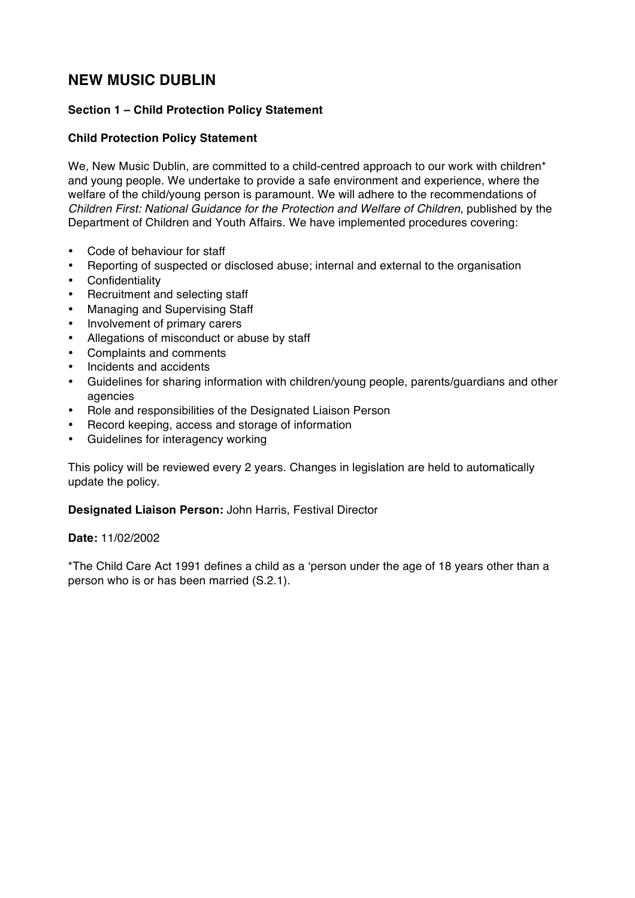# **NEW MUSIC DUBLIN**

# **Section 1 – Child Protection Policy Statement**

#### **Child Protection Policy Statement**

We, New Music Dublin, are committed to a child-centred approach to our work with children<sup>\*</sup> and young people. We undertake to provide a safe environment and experience, where the welfare of the child/young person is paramount. We will adhere to the recommendations of *Children First: National Guidance for the Protection and Welfare of Children*, published by the Department of Children and Youth Affairs. We have implemented procedures covering:

- Code of behaviour for staff
- Reporting of suspected or disclosed abuse; internal and external to the organisation
- **Confidentiality**
- Recruitment and selecting staff
- Managing and Supervising Staff
- Involvement of primary carers
- Allegations of misconduct or abuse by staff
- Complaints and comments
- Incidents and accidents
- Guidelines for sharing information with children/young people, parents/guardians and other agencies
- Role and responsibilities of the Designated Liaison Person
- Record keeping, access and storage of information
- Guidelines for interagency working

This policy will be reviewed every 2 years. Changes in legislation are held to automatically update the policy.

#### **Designated Liaison Person:** John Harris, Festival Director

#### **Date:** 11/02/2002

\*The Child Care Act 1991 defines a child as a 'person under the age of 18 years other than a person who is or has been married (S.2.1).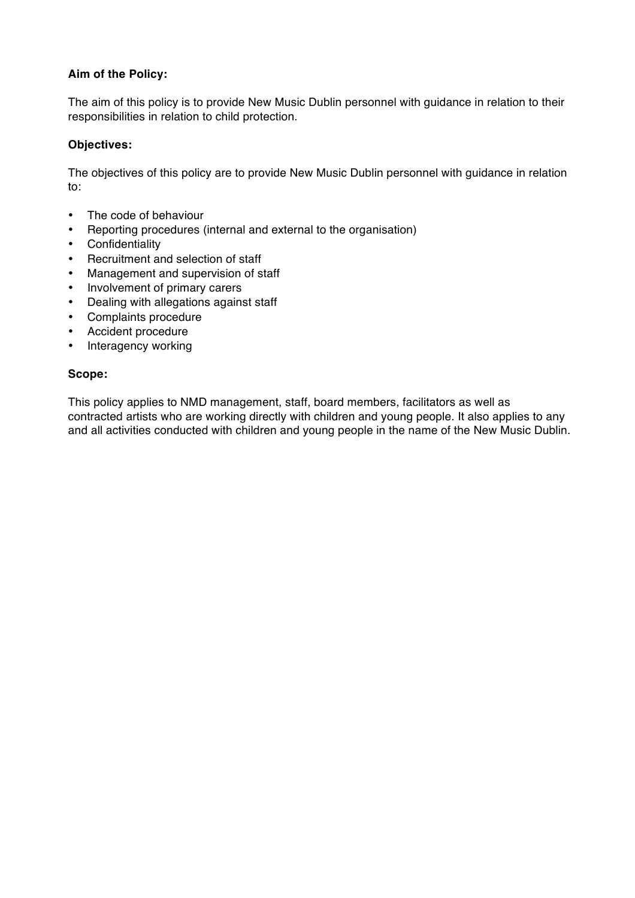## **Aim of the Policy:**

The aim of this policy is to provide New Music Dublin personnel with guidance in relation to their responsibilities in relation to child protection.

#### **Objectives:**

The objectives of this policy are to provide New Music Dublin personnel with guidance in relation to:

- The code of behaviour
- Reporting procedures (internal and external to the organisation)
- Confidentiality
- Recruitment and selection of staff
- Management and supervision of staff
- Involvement of primary carers
- Dealing with allegations against staff
- Complaints procedure
- Accident procedure
- Interagency working

#### **Scope:**

This policy applies to NMD management, staff, board members, facilitators as well as contracted artists who are working directly with children and young people. It also applies to any and all activities conducted with children and young people in the name of the New Music Dublin.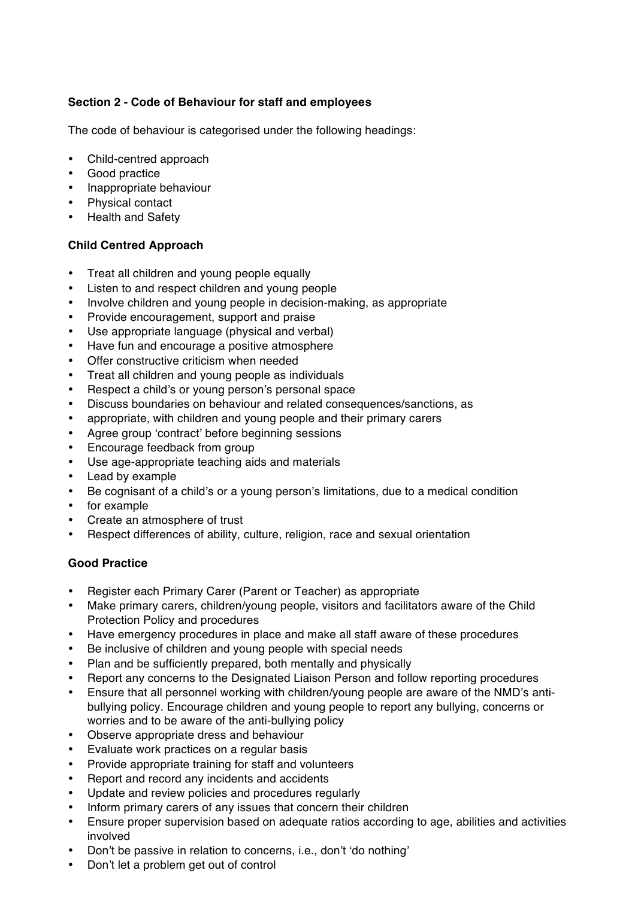# **Section 2 - Code of Behaviour for staff and employees**

The code of behaviour is categorised under the following headings:

- Child-centred approach
- Good practice
- Inappropriate behaviour
- Physical contact
- Health and Safety

# **Child Centred Approach**

- Treat all children and young people equally
- Listen to and respect children and young people
- Involve children and young people in decision-making, as appropriate
- Provide encouragement, support and praise
- Use appropriate language (physical and verbal)
- Have fun and encourage a positive atmosphere
- Offer constructive criticism when needed
- Treat all children and young people as individuals
- Respect a child's or young person's personal space
- Discuss boundaries on behaviour and related consequences/sanctions, as
- appropriate, with children and young people and their primary carers
- Agree group 'contract' before beginning sessions
- Encourage feedback from group
- Use age-appropriate teaching aids and materials
- Lead by example
- Be cognisant of a child's or a young person's limitations, due to a medical condition
- for example
- Create an atmosphere of trust
- Respect differences of ability, culture, religion, race and sexual orientation

#### **Good Practice**

- Register each Primary Carer (Parent or Teacher) as appropriate
- Make primary carers, children/young people, visitors and facilitators aware of the Child Protection Policy and procedures
- Have emergency procedures in place and make all staff aware of these procedures
- Be inclusive of children and young people with special needs
- Plan and be sufficiently prepared, both mentally and physically
- Report any concerns to the Designated Liaison Person and follow reporting procedures
- Ensure that all personnel working with children/young people are aware of the NMD's antibullying policy. Encourage children and young people to report any bullying, concerns or worries and to be aware of the anti-bullying policy
- Observe appropriate dress and behaviour
- Evaluate work practices on a regular basis
- Provide appropriate training for staff and volunteers
- Report and record any incidents and accidents
- Update and review policies and procedures regularly
- Inform primary carers of any issues that concern their children
- Ensure proper supervision based on adequate ratios according to age, abilities and activities involved
- Don't be passive in relation to concerns, i.e., don't 'do nothing'
- Don't let a problem get out of control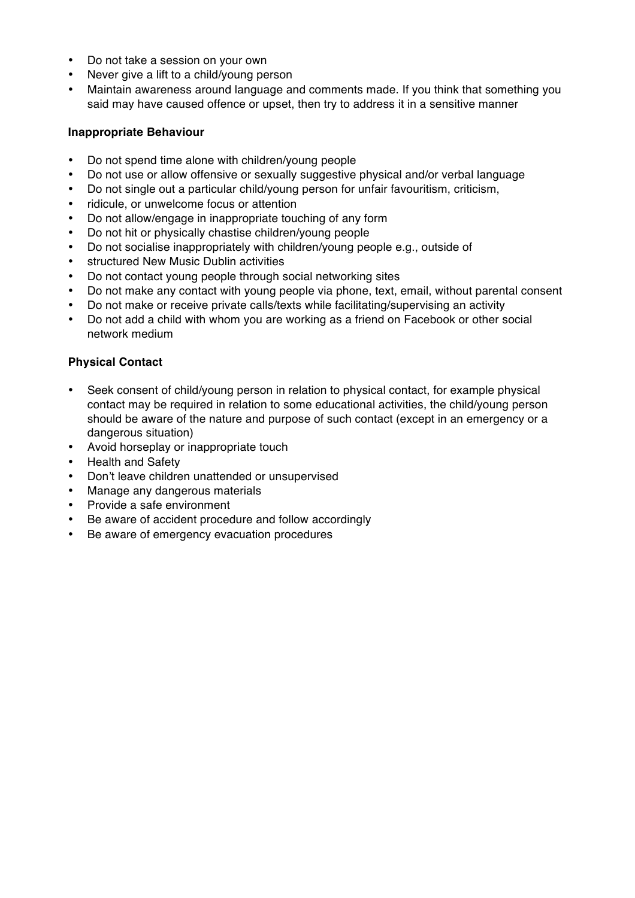- Do not take a session on your own
- Never give a lift to a child/young person
- Maintain awareness around language and comments made. If you think that something you said may have caused offence or upset, then try to address it in a sensitive manner

#### **Inappropriate Behaviour**

- Do not spend time alone with children/young people
- Do not use or allow offensive or sexually suggestive physical and/or verbal language
- Do not single out a particular child/young person for unfair favouritism, criticism,
- ridicule, or unwelcome focus or attention
- Do not allow/engage in inappropriate touching of any form
- Do not hit or physically chastise children/young people
- Do not socialise inappropriately with children/young people e.g., outside of
- structured New Music Dublin activities
- Do not contact young people through social networking sites
- Do not make any contact with young people via phone, text, email, without parental consent
- Do not make or receive private calls/texts while facilitating/supervising an activity
- Do not add a child with whom you are working as a friend on Facebook or other social network medium

## **Physical Contact**

- Seek consent of child/young person in relation to physical contact, for example physical contact may be required in relation to some educational activities, the child/young person should be aware of the nature and purpose of such contact (except in an emergency or a dangerous situation)
- Avoid horseplay or inappropriate touch
- Health and Safety
- Don't leave children unattended or unsupervised
- Manage any dangerous materials
- Provide a safe environment
- Be aware of accident procedure and follow accordingly
- Be aware of emergency evacuation procedures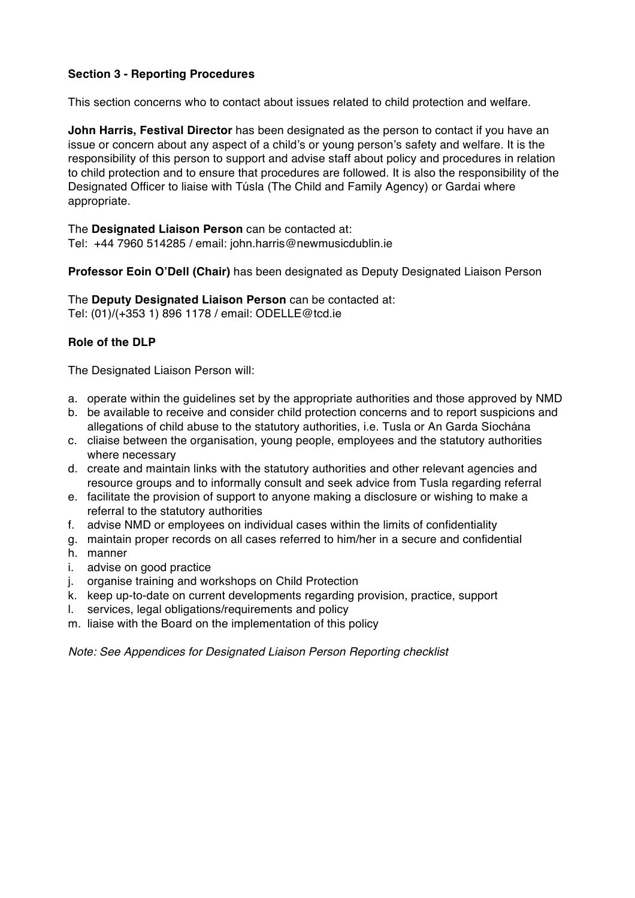# **Section 3 - Reporting Procedures**

This section concerns who to contact about issues related to child protection and welfare.

**John Harris, Festival Director** has been designated as the person to contact if you have an issue or concern about any aspect of a child's or young person's safety and welfare. It is the responsibility of this person to support and advise staff about policy and procedures in relation to child protection and to ensure that procedures are followed. It is also the responsibility of the Designated Officer to liaise with Túsla (The Child and Family Agency) or Gardai where appropriate.

The **Designated Liaison Person** can be contacted at: Tel: +44 7960 514285 / email: john.harris@newmusicdublin.ie

**Professor Eoin O'Dell (Chair)** has been designated as Deputy Designated Liaison Person

The **Deputy Designated Liaison Person** can be contacted at: Tel: (01)/(+353 1) 896 1178 / email: ODELLE@tcd.ie

#### **Role of the DLP**

The Designated Liaison Person will:

- a. operate within the guidelines set by the appropriate authorities and those approved by NMD
- b. be available to receive and consider child protection concerns and to report suspicions and allegations of child abuse to the statutory authorities, i.e. Tusla or An Garda Síochána
- c. cliaise between the organisation, young people, employees and the statutory authorities where necessary
- d. create and maintain links with the statutory authorities and other relevant agencies and resource groups and to informally consult and seek advice from Tusla regarding referral
- e. facilitate the provision of support to anyone making a disclosure or wishing to make a referral to the statutory authorities
- f. advise NMD or employees on individual cases within the limits of confidentiality
- g. maintain proper records on all cases referred to him/her in a secure and confidential
- h. manner
- i. advise on good practice
- j. organise training and workshops on Child Protection
- k. keep up-to-date on current developments regarding provision, practice, support
- l. services, legal obligations/requirements and policy
- m. liaise with the Board on the implementation of this policy

*Note: See Appendices for Designated Liaison Person Reporting checklist*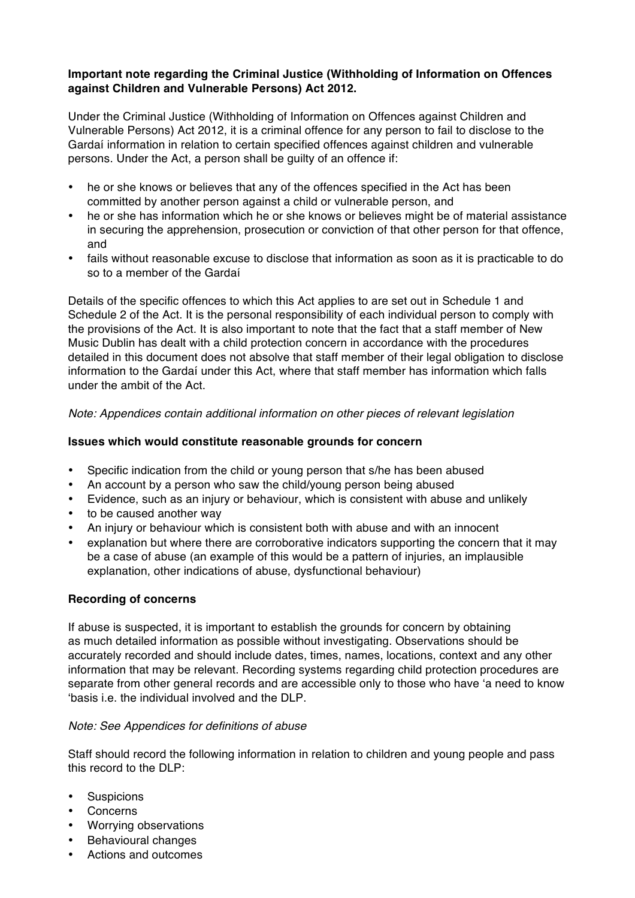### **Important note regarding the Criminal Justice (Withholding of Information on Offences against Children and Vulnerable Persons) Act 2012.**

Under the Criminal Justice (Withholding of Information on Offences against Children and Vulnerable Persons) Act 2012, it is a criminal offence for any person to fail to disclose to the Gardaí information in relation to certain specified offences against children and vulnerable persons. Under the Act, a person shall be guilty of an offence if:

- he or she knows or believes that any of the offences specified in the Act has been committed by another person against a child or vulnerable person, and
- he or she has information which he or she knows or believes might be of material assistance in securing the apprehension, prosecution or conviction of that other person for that offence, and
- fails without reasonable excuse to disclose that information as soon as it is practicable to do so to a member of the Gardaí

Details of the specific offences to which this Act applies to are set out in Schedule 1 and Schedule 2 of the Act. It is the personal responsibility of each individual person to comply with the provisions of the Act. It is also important to note that the fact that a staff member of New Music Dublin has dealt with a child protection concern in accordance with the procedures detailed in this document does not absolve that staff member of their legal obligation to disclose information to the Gardaí under this Act, where that staff member has information which falls under the ambit of the Act.

*Note: Appendices contain additional information on other pieces of relevant legislation*

#### **Issues which would constitute reasonable grounds for concern**

- Specific indication from the child or young person that s/he has been abused
- An account by a person who saw the child/young person being abused
- Evidence, such as an injury or behaviour, which is consistent with abuse and unlikely
- to be caused another way
- An injury or behaviour which is consistent both with abuse and with an innocent
- explanation but where there are corroborative indicators supporting the concern that it may be a case of abuse (an example of this would be a pattern of injuries, an implausible explanation, other indications of abuse, dysfunctional behaviour)

#### **Recording of concerns**

If abuse is suspected, it is important to establish the grounds for concern by obtaining as much detailed information as possible without investigating. Observations should be accurately recorded and should include dates, times, names, locations, context and any other information that may be relevant. Recording systems regarding child protection procedures are separate from other general records and are accessible only to those who have 'a need to know 'basis i.e. the individual involved and the DLP.

#### *Note: See Appendices for definitions of abuse*

Staff should record the following information in relation to children and young people and pass this record to the DLP:

- Suspicions
- Concerns
- Worrying observations
- Behavioural changes
- Actions and outcomes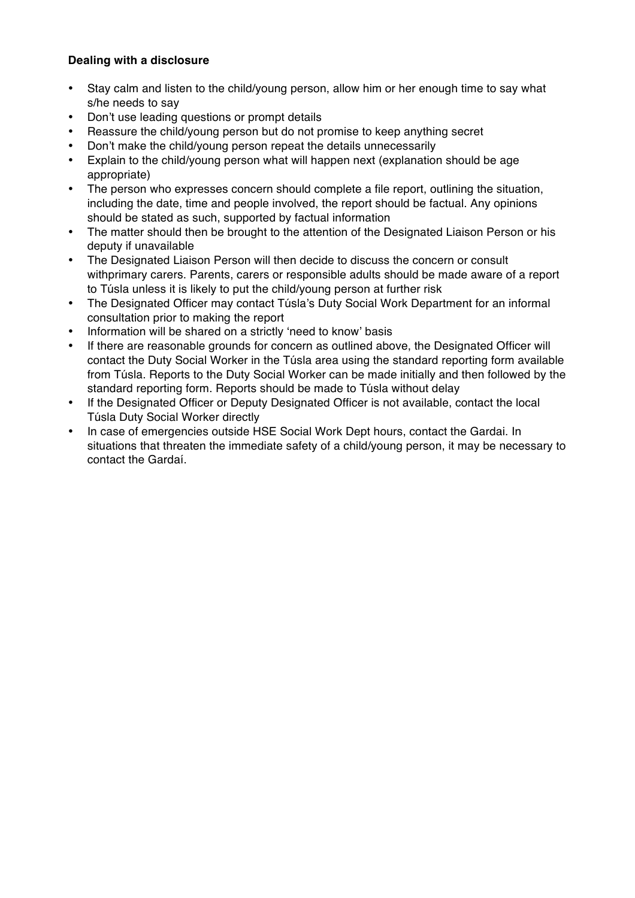# **Dealing with a disclosure**

- Stay calm and listen to the child/young person, allow him or her enough time to say what s/he needs to say
- Don't use leading questions or prompt details
- Reassure the child/young person but do not promise to keep anything secret
- Don't make the child/young person repeat the details unnecessarily
- Explain to the child/young person what will happen next (explanation should be age appropriate)
- The person who expresses concern should complete a file report, outlining the situation, including the date, time and people involved, the report should be factual. Any opinions should be stated as such, supported by factual information
- The matter should then be brought to the attention of the Designated Liaison Person or his deputy if unavailable
- The Designated Liaison Person will then decide to discuss the concern or consult withprimary carers. Parents, carers or responsible adults should be made aware of a report to Túsla unless it is likely to put the child/young person at further risk
- The Designated Officer may contact Túsla's Duty Social Work Department for an informal consultation prior to making the report
- Information will be shared on a strictly 'need to know' basis
- If there are reasonable grounds for concern as outlined above, the Designated Officer will contact the Duty Social Worker in the Túsla area using the standard reporting form available from Túsla. Reports to the Duty Social Worker can be made initially and then followed by the standard reporting form. Reports should be made to Túsla without delay
- If the Designated Officer or Deputy Designated Officer is not available, contact the local Túsla Duty Social Worker directly
- In case of emergencies outside HSE Social Work Dept hours, contact the Gardai. In situations that threaten the immediate safety of a child/young person, it may be necessary to contact the Gardaí.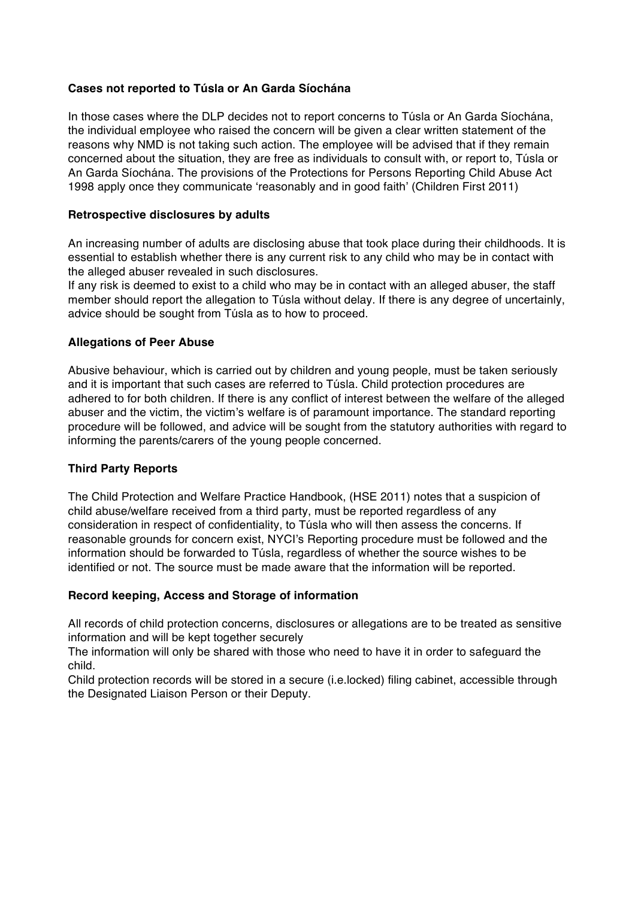#### **Cases not reported to Túsla or An Garda Síochána**

In those cases where the DLP decides not to report concerns to Túsla or An Garda Síochána, the individual employee who raised the concern will be given a clear written statement of the reasons why NMD is not taking such action. The employee will be advised that if they remain concerned about the situation, they are free as individuals to consult with, or report to, Túsla or An Garda Síochána. The provisions of the Protections for Persons Reporting Child Abuse Act 1998 apply once they communicate 'reasonably and in good faith' (Children First 2011)

#### **Retrospective disclosures by adults**

An increasing number of adults are disclosing abuse that took place during their childhoods. It is essential to establish whether there is any current risk to any child who may be in contact with the alleged abuser revealed in such disclosures.

If any risk is deemed to exist to a child who may be in contact with an alleged abuser, the staff member should report the allegation to Túsla without delay. If there is any degree of uncertainly, advice should be sought from Túsla as to how to proceed.

## **Allegations of Peer Abuse**

Abusive behaviour, which is carried out by children and young people, must be taken seriously and it is important that such cases are referred to Túsla. Child protection procedures are adhered to for both children. If there is any conflict of interest between the welfare of the alleged abuser and the victim, the victim's welfare is of paramount importance. The standard reporting procedure will be followed, and advice will be sought from the statutory authorities with regard to informing the parents/carers of the young people concerned.

#### **Third Party Reports**

The Child Protection and Welfare Practice Handbook, (HSE 2011) notes that a suspicion of child abuse/welfare received from a third party, must be reported regardless of any consideration in respect of confidentiality, to Túsla who will then assess the concerns. If reasonable grounds for concern exist, NYCI's Reporting procedure must be followed and the information should be forwarded to Túsla, regardless of whether the source wishes to be identified or not. The source must be made aware that the information will be reported.

#### **Record keeping, Access and Storage of information**

All records of child protection concerns, disclosures or allegations are to be treated as sensitive information and will be kept together securely

The information will only be shared with those who need to have it in order to safeguard the child.

Child protection records will be stored in a secure (i.e.locked) filing cabinet, accessible through the Designated Liaison Person or their Deputy.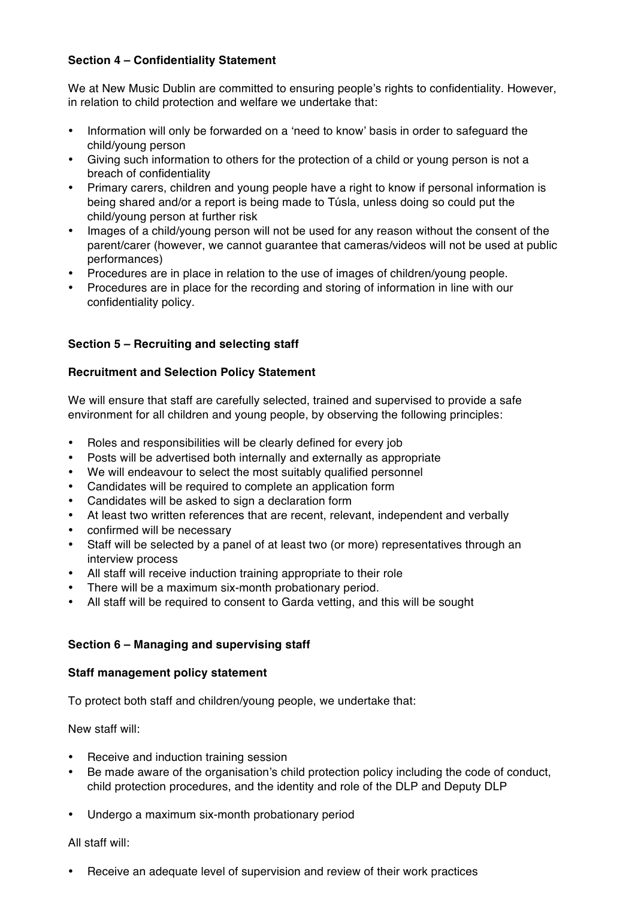# **Section 4 – Confidentiality Statement**

We at New Music Dublin are committed to ensuring people's rights to confidentiality. However, in relation to child protection and welfare we undertake that:

- Information will only be forwarded on a 'need to know' basis in order to safeguard the child/young person
- Giving such information to others for the protection of a child or young person is not a breach of confidentiality
- Primary carers, children and young people have a right to know if personal information is being shared and/or a report is being made to Túsla, unless doing so could put the child/young person at further risk
- Images of a child/young person will not be used for any reason without the consent of the parent/carer (however, we cannot guarantee that cameras/videos will not be used at public performances)
- Procedures are in place in relation to the use of images of children/young people.
- Procedures are in place for the recording and storing of information in line with our confidentiality policy.

## **Section 5 – Recruiting and selecting staff**

#### **Recruitment and Selection Policy Statement**

We will ensure that staff are carefully selected, trained and supervised to provide a safe environment for all children and young people, by observing the following principles:

- Roles and responsibilities will be clearly defined for every job
- Posts will be advertised both internally and externally as appropriate
- We will endeavour to select the most suitably qualified personnel
- Candidates will be required to complete an application form
- Candidates will be asked to sign a declaration form
- At least two written references that are recent, relevant, independent and verbally
- confirmed will be necessary
- Staff will be selected by a panel of at least two (or more) representatives through an interview process
- All staff will receive induction training appropriate to their role
- There will be a maximum six-month probationary period.
- All staff will be required to consent to Garda vetting, and this will be sought

# **Section 6 – Managing and supervising staff**

#### **Staff management policy statement**

To protect both staff and children/young people, we undertake that:

New staff will:

- Receive and induction training session
- Be made aware of the organisation's child protection policy including the code of conduct, child protection procedures, and the identity and role of the DLP and Deputy DLP
- Undergo a maximum six-month probationary period

#### All staff will:

• Receive an adequate level of supervision and review of their work practices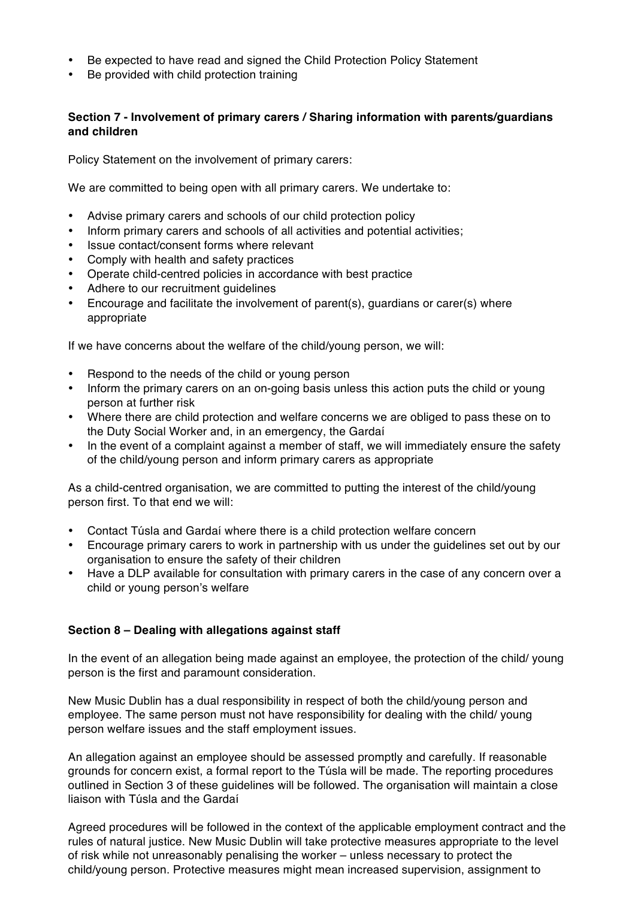- Be expected to have read and signed the Child Protection Policy Statement
- Be provided with child protection training

## **Section 7 - Involvement of primary carers / Sharing information with parents/guardians and children**

Policy Statement on the involvement of primary carers:

We are committed to being open with all primary carers. We undertake to:

- Advise primary carers and schools of our child protection policy
- Inform primary carers and schools of all activities and potential activities;
- Issue contact/consent forms where relevant
- Comply with health and safety practices
- Operate child-centred policies in accordance with best practice
- Adhere to our recruitment guidelines
- Encourage and facilitate the involvement of parent(s), guardians or carer(s) where appropriate

If we have concerns about the welfare of the child/young person, we will:

- Respond to the needs of the child or young person
- Inform the primary carers on an on-going basis unless this action puts the child or young person at further risk
- Where there are child protection and welfare concerns we are obliged to pass these on to the Duty Social Worker and, in an emergency, the Gardaí
- In the event of a complaint against a member of staff, we will immediately ensure the safety of the child/young person and inform primary carers as appropriate

As a child-centred organisation, we are committed to putting the interest of the child/young person first. To that end we will:

- Contact Túsla and Gardaí where there is a child protection welfare concern
- Encourage primary carers to work in partnership with us under the guidelines set out by our organisation to ensure the safety of their children
- Have a DLP available for consultation with primary carers in the case of any concern over a child or young person's welfare

# **Section 8 – Dealing with allegations against staff**

In the event of an allegation being made against an employee, the protection of the child/ young person is the first and paramount consideration.

New Music Dublin has a dual responsibility in respect of both the child/young person and employee. The same person must not have responsibility for dealing with the child/ young person welfare issues and the staff employment issues.

An allegation against an employee should be assessed promptly and carefully. If reasonable grounds for concern exist, a formal report to the Túsla will be made. The reporting procedures outlined in Section 3 of these guidelines will be followed. The organisation will maintain a close liaison with Túsla and the Gardaí

Agreed procedures will be followed in the context of the applicable employment contract and the rules of natural justice. New Music Dublin will take protective measures appropriate to the level of risk while not unreasonably penalising the worker – unless necessary to protect the child/young person. Protective measures might mean increased supervision, assignment to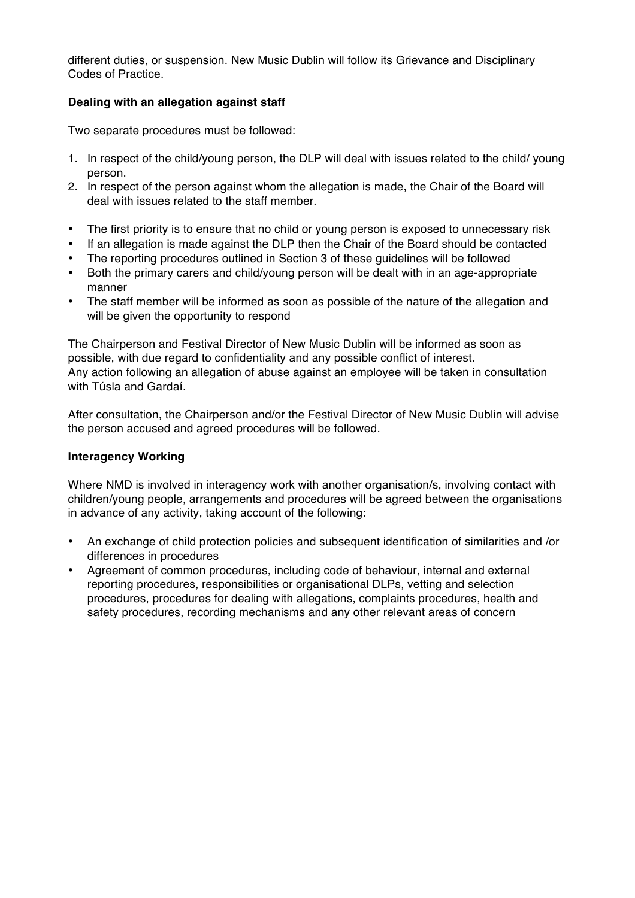different duties, or suspension. New Music Dublin will follow its Grievance and Disciplinary Codes of Practice.

## **Dealing with an allegation against staff**

Two separate procedures must be followed:

- 1. In respect of the child/young person, the DLP will deal with issues related to the child/ young person.
- 2. In respect of the person against whom the allegation is made, the Chair of the Board will deal with issues related to the staff member.
- The first priority is to ensure that no child or young person is exposed to unnecessary risk
- If an allegation is made against the DLP then the Chair of the Board should be contacted
- The reporting procedures outlined in Section 3 of these guidelines will be followed
- Both the primary carers and child/young person will be dealt with in an age-appropriate manner
- The staff member will be informed as soon as possible of the nature of the allegation and will be given the opportunity to respond

The Chairperson and Festival Director of New Music Dublin will be informed as soon as possible, with due regard to confidentiality and any possible conflict of interest. Any action following an allegation of abuse against an employee will be taken in consultation with Túsla and Gardaí.

After consultation, the Chairperson and/or the Festival Director of New Music Dublin will advise the person accused and agreed procedures will be followed.

#### **Interagency Working**

Where NMD is involved in interagency work with another organisation/s, involving contact with children/young people, arrangements and procedures will be agreed between the organisations in advance of any activity, taking account of the following:

- An exchange of child protection policies and subsequent identification of similarities and /or differences in procedures
- Agreement of common procedures, including code of behaviour, internal and external reporting procedures, responsibilities or organisational DLPs, vetting and selection procedures, procedures for dealing with allegations, complaints procedures, health and safety procedures, recording mechanisms and any other relevant areas of concern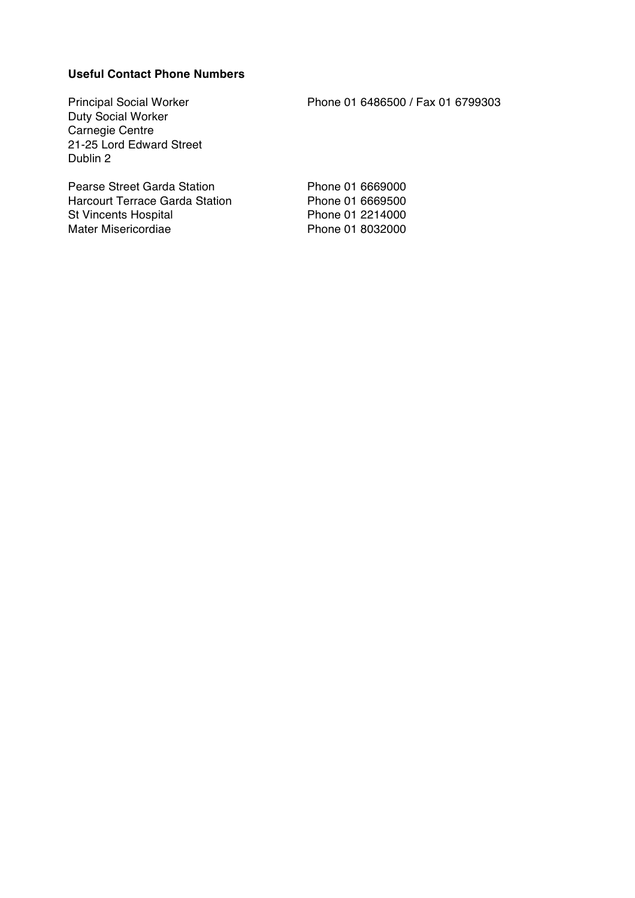#### **Useful Contact Phone Numbers**

Duty Social Worker Carnegie Centre 21-25 Lord Edward Street Dublin 2

Pearse Street Garda Station Phone 01 6669000 Harcourt Terrace Garda Station Phone 01 6669500 St Vincents Hospital Phone 01 2214000<br>Mater Misericordiae Phone 01 8032000 Mater Misericordiae

Principal Social Worker Phone 01 6486500 / Fax 01 6799303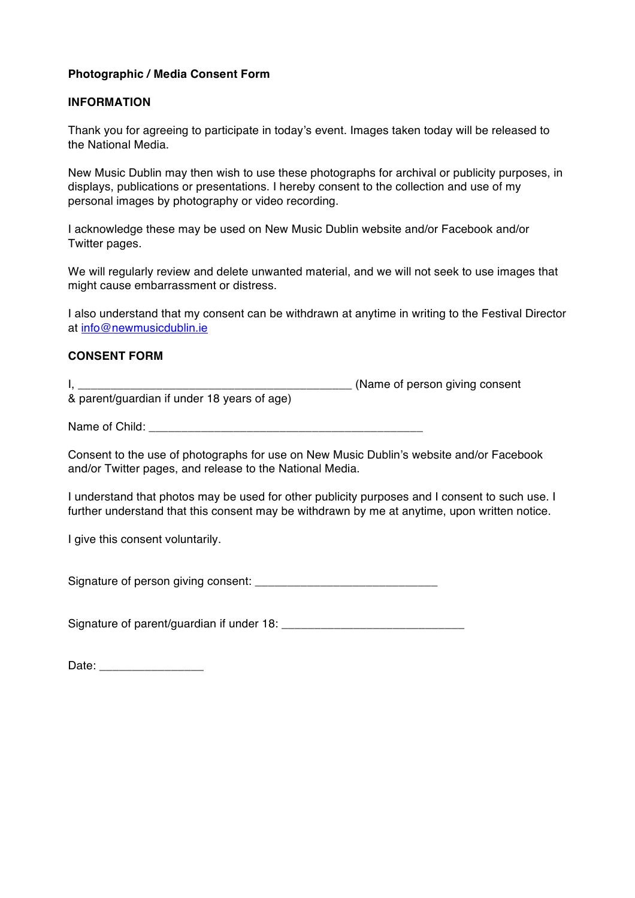#### **Photographic / Media Consent Form**

#### **INFORMATION**

Thank you for agreeing to participate in today's event. Images taken today will be released to the National Media.

New Music Dublin may then wish to use these photographs for archival or publicity purposes, in displays, publications or presentations. I hereby consent to the collection and use of my personal images by photography or video recording.

I acknowledge these may be used on New Music Dublin website and/or Facebook and/or Twitter pages.

We will regularly review and delete unwanted material, and we will not seek to use images that might cause embarrassment or distress.

I also understand that my consent can be withdrawn at anytime in writing to the Festival Director at info@newmusicdublin.ie

#### **CONSENT FORM**

I, \_\_\_\_\_\_\_\_\_\_\_\_\_\_\_\_\_\_\_\_\_\_\_\_\_\_\_\_\_\_\_\_\_\_\_\_\_\_\_\_\_\_ (Name of person giving consent

& parent/guardian if under 18 years of age)

Name of Child:

Consent to the use of photographs for use on New Music Dublin's website and/or Facebook and/or Twitter pages, and release to the National Media.

I understand that photos may be used for other publicity purposes and I consent to such use. I further understand that this consent may be withdrawn by me at anytime, upon written notice.

I give this consent voluntarily.

Signature of person giving consent: \_\_\_\_\_\_\_\_\_\_\_\_\_\_\_\_\_\_\_\_\_\_\_\_\_\_\_\_

Signature of parent/guardian if under 18: \_\_\_\_\_\_\_\_\_\_\_\_\_\_\_\_\_\_\_\_\_\_\_\_\_\_\_\_

Date:  $\Box$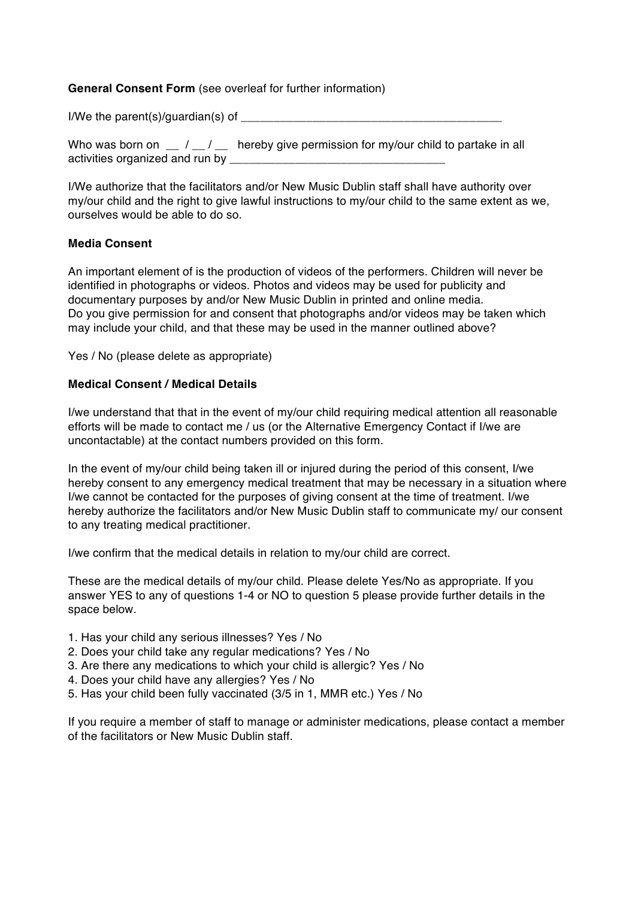#### **General Consent Form** (see overleaf for further information)

I/We the parent(s)/quardian(s) of

| Who was born on<br>$\mathbf{m} = I \pm I$ | hereby give permission for my/our child to partake in all |
|-------------------------------------------|-----------------------------------------------------------|
| activities organized and run by           |                                                           |

I/We authorize that the facilitators and/or New Music Dublin staff shall have authority over my/our child and the right to give lawful instructions to my/our child to the same extent as we, ourselves would be able to do so.

## **Media Consent**

An important element of is the production of videos of the performers. Children will never be identified in photographs or videos. Photos and videos may be used for publicity and documentary purposes by and/or New Music Dublin in printed and online media. Do you give permission for and consent that photographs and/or videos may be taken which may include your child, and that these may be used in the manner outlined above?

Yes / No (please delete as appropriate)

#### **Medical Consent / Medical Details**

I/we understand that that in the event of my/our child requiring medical attention all reasonable efforts will be made to contact me / us (or the Alternative Emergency Contact if I/we are uncontactable) at the contact numbers provided on this form.

In the event of my/our child being taken ill or injured during the period of this consent, I/we hereby consent to any emergency medical treatment that may be necessary in a situation where I/we cannot be contacted for the purposes of giving consent at the time of treatment. I/we hereby authorize the facilitators and/or New Music Dublin staff to communicate my/ our consent to any treating medical practitioner.

I/we confirm that the medical details in relation to my/our child are correct.

These are the medical details of my/our child. Please delete Yes/No as appropriate. If you answer YES to any of questions 1-4 or NO to question 5 please provide further details in the space below.

- 1. Has your child any serious illnesses? Yes / No
- 2. Does your child take any regular medications? Yes / No
- 3. Are there any medications to which your child is allergic? Yes / No
- 4. Does your child have any allergies? Yes / No
- 5. Has your child been fully vaccinated (3/5 in 1, MMR etc.) Yes / No

If you require a member of staff to manage or administer medications, please contact a member of the facilitators or New Music Dublin staff.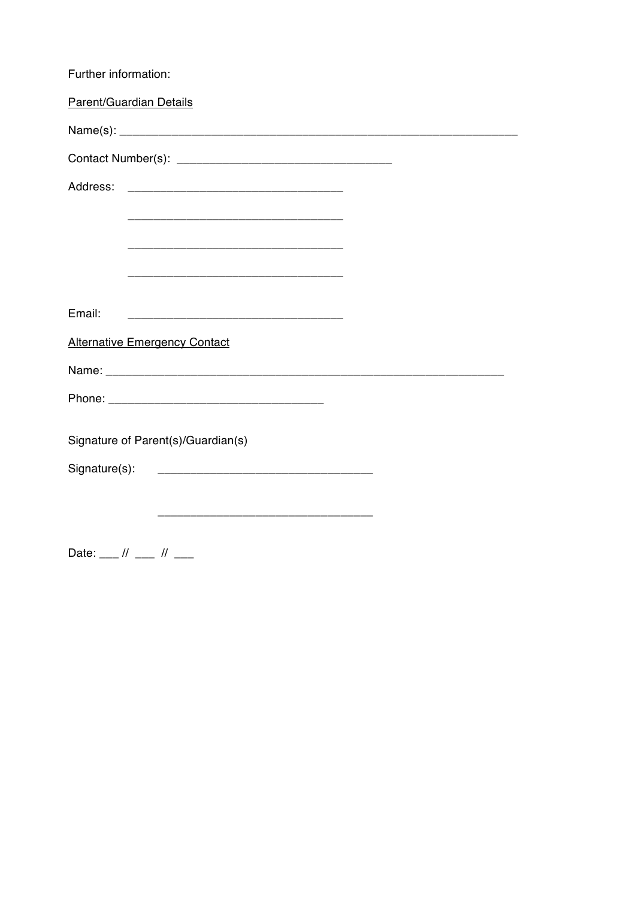| Further information:                                                                                                   |
|------------------------------------------------------------------------------------------------------------------------|
| Parent/Guardian Details                                                                                                |
|                                                                                                                        |
|                                                                                                                        |
| Address:                                                                                                               |
| <u> 1989 - Johann John Stone, mars et al. 1989 - John Stone, mars et al. 1989 - John Stone, mars et al. 1989 - Joh</u> |
|                                                                                                                        |
| <u> 1989 - Johann John Stone, mars et al. (1989)</u>                                                                   |
|                                                                                                                        |
| Email:<br><u> 1989 - Johann John Stone, mars eta biztanleria (h. 1989).</u>                                            |
| <b>Alternative Emergency Contact</b>                                                                                   |
|                                                                                                                        |
|                                                                                                                        |
|                                                                                                                        |
| Signature of Parent(s)/Guardian(s)                                                                                     |
| Signature(s):                                                                                                          |
|                                                                                                                        |
|                                                                                                                        |

Date:  $\frac{1}{1}$  //  $\frac{1}{1}$  //  $\frac{1}{1}$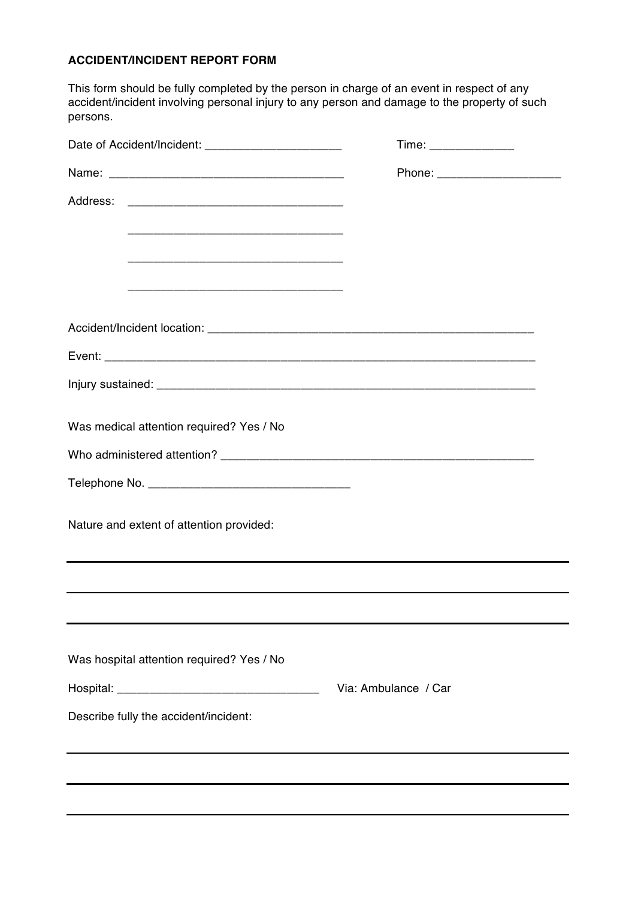# **ACCIDENT/INCIDENT REPORT FORM**

This form should be fully completed by the person in charge of an event in respect of any accident/incident involving personal injury to any person and damage to the property of such persons.

| Date of Accident/Incident: ________________________ | Time: _______________          |
|-----------------------------------------------------|--------------------------------|
|                                                     | Phone: _______________________ |
| Address:                                            |                                |
|                                                     |                                |
|                                                     |                                |
|                                                     |                                |
|                                                     |                                |
|                                                     |                                |
|                                                     |                                |
| Was medical attention required? Yes / No            |                                |
|                                                     |                                |
|                                                     |                                |
| Nature and extent of attention provided:            |                                |
|                                                     |                                |
|                                                     |                                |
| Was hospital attention required? Yes / No           |                                |
|                                                     | Via: Ambulance / Car           |
| Describe fully the accident/incident:               |                                |
|                                                     |                                |
|                                                     |                                |
|                                                     |                                |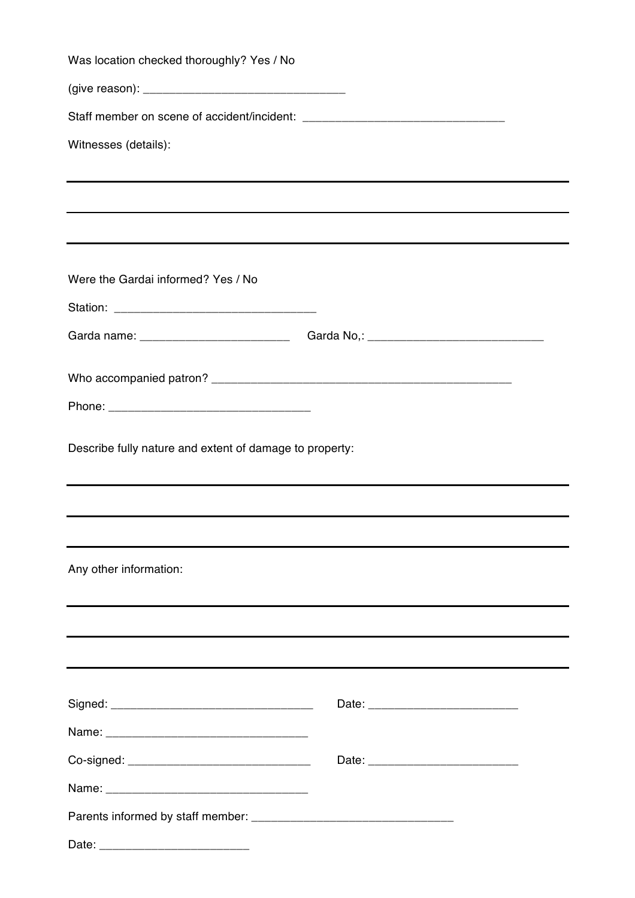| Was location checked thoroughly? Yes / No               |                                                                                  |
|---------------------------------------------------------|----------------------------------------------------------------------------------|
|                                                         |                                                                                  |
|                                                         |                                                                                  |
| Witnesses (details):                                    |                                                                                  |
|                                                         |                                                                                  |
|                                                         |                                                                                  |
|                                                         |                                                                                  |
|                                                         |                                                                                  |
| Were the Gardai informed? Yes / No                      |                                                                                  |
|                                                         |                                                                                  |
|                                                         | Garda name: _________________________________Garda No,: ________________________ |
|                                                         |                                                                                  |
|                                                         |                                                                                  |
|                                                         |                                                                                  |
| Describe fully nature and extent of damage to property: |                                                                                  |
|                                                         |                                                                                  |
|                                                         |                                                                                  |
|                                                         |                                                                                  |
| Any other information:                                  |                                                                                  |
|                                                         |                                                                                  |
|                                                         |                                                                                  |
|                                                         |                                                                                  |
|                                                         |                                                                                  |
|                                                         |                                                                                  |
|                                                         |                                                                                  |
|                                                         |                                                                                  |
|                                                         |                                                                                  |
|                                                         |                                                                                  |
|                                                         |                                                                                  |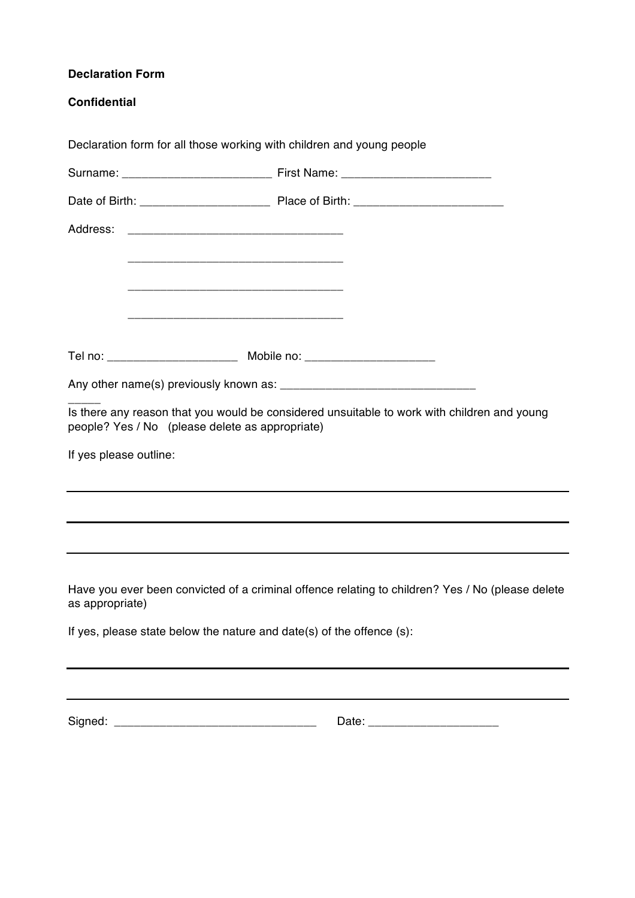| <b>Declaration Form</b>                                                                                             |                                                                                                  |
|---------------------------------------------------------------------------------------------------------------------|--------------------------------------------------------------------------------------------------|
| <b>Confidential</b>                                                                                                 |                                                                                                  |
| Declaration form for all those working with children and young people                                               |                                                                                                  |
|                                                                                                                     |                                                                                                  |
|                                                                                                                     |                                                                                                  |
| Address:                                                                                                            |                                                                                                  |
|                                                                                                                     |                                                                                                  |
| <u> 1989 - Johann Barbara, margaret eta idazlearia (h. 1989).</u>                                                   |                                                                                                  |
| <u> 1989 - Johann Barbara, martxa alemaniar argumento este alemaniar alemaniar alemaniar alemaniar alemaniar al</u> |                                                                                                  |
| Tel no: ___________________________ Mobile no: _________________________________                                    |                                                                                                  |
|                                                                                                                     |                                                                                                  |
|                                                                                                                     | Is there any reason that you would be considered unsuitable to work with children and young      |
| people? Yes / No (please delete as appropriate)                                                                     |                                                                                                  |
| If yes please outline:                                                                                              |                                                                                                  |
|                                                                                                                     |                                                                                                  |
|                                                                                                                     |                                                                                                  |
|                                                                                                                     |                                                                                                  |
| as appropriate)                                                                                                     | Have you ever been convicted of a criminal offence relating to children? Yes / No (please delete |
| If yes, please state below the nature and date(s) of the offence (s):                                               |                                                                                                  |
|                                                                                                                     |                                                                                                  |

Signed: \_\_\_\_\_\_\_\_\_\_\_\_\_\_\_\_\_\_\_\_\_\_\_\_\_\_\_\_\_\_\_ Date: \_\_\_\_\_\_\_\_\_\_\_\_\_\_\_\_\_\_\_\_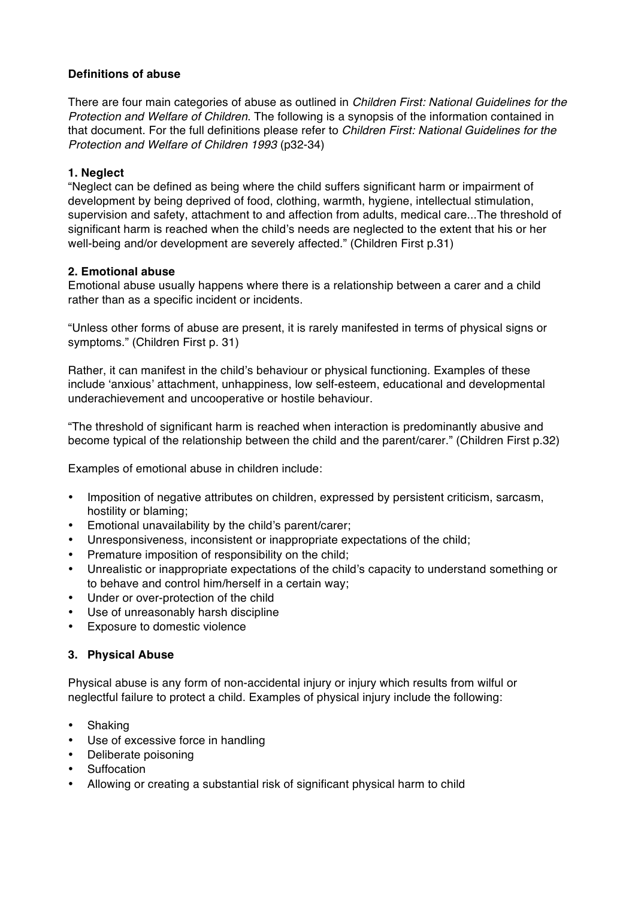# **Definitions of abuse**

There are four main categories of abuse as outlined in *Children First: National Guidelines for the Protection and Welfare of Children*. The following is a synopsis of the information contained in that document. For the full definitions please refer to *Children First: National Guidelines for the Protection and Welfare of Children 1993* (p32-34)

#### **1. Neglect**

"Neglect can be defined as being where the child suffers significant harm or impairment of development by being deprived of food, clothing, warmth, hygiene, intellectual stimulation, supervision and safety, attachment to and affection from adults, medical care...The threshold of significant harm is reached when the child's needs are neglected to the extent that his or her well-being and/or development are severely affected." (Children First p.31)

#### **2. Emotional abuse**

Emotional abuse usually happens where there is a relationship between a carer and a child rather than as a specific incident or incidents.

"Unless other forms of abuse are present, it is rarely manifested in terms of physical signs or symptoms." (Children First p. 31)

Rather, it can manifest in the child's behaviour or physical functioning. Examples of these include 'anxious' attachment, unhappiness, low self-esteem, educational and developmental underachievement and uncooperative or hostile behaviour.

"The threshold of significant harm is reached when interaction is predominantly abusive and become typical of the relationship between the child and the parent/carer." (Children First p.32)

Examples of emotional abuse in children include:

- Imposition of negative attributes on children, expressed by persistent criticism, sarcasm, hostility or blaming;
- Emotional unavailability by the child's parent/carer;
- Unresponsiveness, inconsistent or inappropriate expectations of the child;
- Premature imposition of responsibility on the child;
- Unrealistic or inappropriate expectations of the child's capacity to understand something or to behave and control him/herself in a certain way;
- Under or over-protection of the child
- Use of unreasonably harsh discipline
- Exposure to domestic violence

#### **3. Physical Abuse**

Physical abuse is any form of non-accidental injury or injury which results from wilful or neglectful failure to protect a child. Examples of physical injury include the following:

- Shaking
- Use of excessive force in handling
- Deliberate poisoning
- **Suffocation**
- Allowing or creating a substantial risk of significant physical harm to child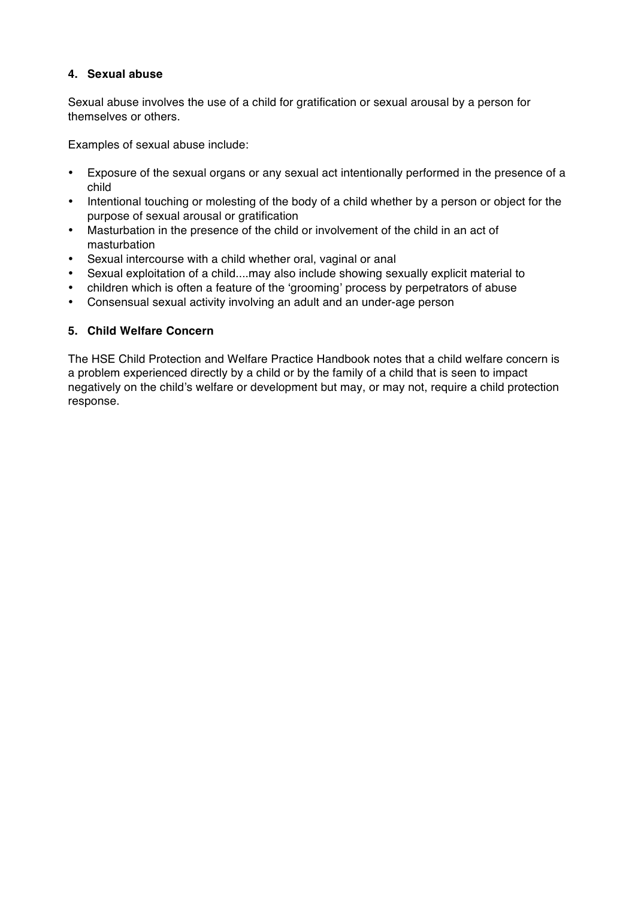# **4. Sexual abuse**

Sexual abuse involves the use of a child for gratification or sexual arousal by a person for themselves or others.

Examples of sexual abuse include:

- Exposure of the sexual organs or any sexual act intentionally performed in the presence of a child
- Intentional touching or molesting of the body of a child whether by a person or object for the purpose of sexual arousal or gratification
- Masturbation in the presence of the child or involvement of the child in an act of masturbation
- Sexual intercourse with a child whether oral, vaginal or anal
- Sexual exploitation of a child....may also include showing sexually explicit material to
- children which is often a feature of the 'grooming' process by perpetrators of abuse
- Consensual sexual activity involving an adult and an under-age person

## **5. Child Welfare Concern**

The HSE Child Protection and Welfare Practice Handbook notes that a child welfare concern is a problem experienced directly by a child or by the family of a child that is seen to impact negatively on the child's welfare or development but may, or may not, require a child protection response.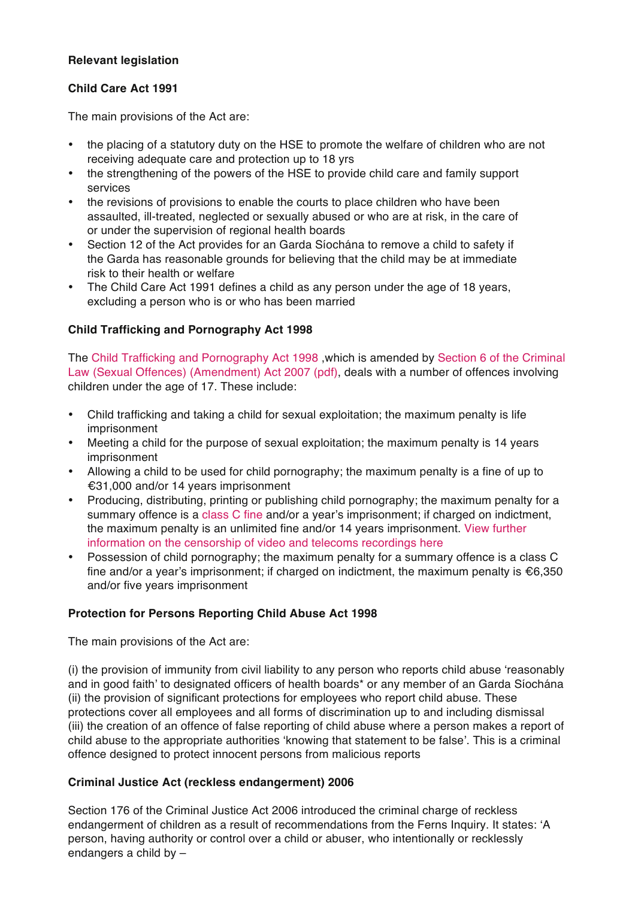# **Relevant legislation**

# **Child Care Act 1991**

The main provisions of the Act are:

- the placing of a statutory duty on the HSE to promote the welfare of children who are not receiving adequate care and protection up to 18 yrs
- the strengthening of the powers of the HSE to provide child care and family support services
- the revisions of provisions to enable the courts to place children who have been assaulted, ill-treated, neglected or sexually abused or who are at risk, in the care of or under the supervision of regional health boards
- Section 12 of the Act provides for an Garda Síochána to remove a child to safety if the Garda has reasonable grounds for believing that the child may be at immediate risk to their health or welfare
- The Child Care Act 1991 defines a child as any person under the age of 18 years, excluding a person who is or who has been married

# **Child Trafficking and Pornography Act 1998**

The Child Trafficking and Pornography Act 1998 ,which is amended by Section 6 of the Criminal Law (Sexual Offences) (Amendment) Act 2007 (pdf), deals with a number of offences involving children under the age of 17. These include:

- Child trafficking and taking a child for sexual exploitation; the maximum penalty is life imprisonment
- Meeting a child for the purpose of sexual exploitation; the maximum penalty is 14 years imprisonment
- Allowing a child to be used for child pornography; the maximum penalty is a fine of up to €31,000 and/or 14 years imprisonment
- Producing, distributing, printing or publishing child pornography; the maximum penalty for a summary offence is a class C fine and/or a year's imprisonment; if charged on indictment, the maximum penalty is an unlimited fine and/or 14 years imprisonment. View further information on the censorship of video and telecoms recordings here
- Possession of child pornography; the maximum penalty for a summary offence is a class C fine and/or a year's imprisonment; if charged on indictment, the maximum penalty is  $€6,350$ and/or five years imprisonment

# **Protection for Persons Reporting Child Abuse Act 1998**

The main provisions of the Act are:

(i) the provision of immunity from civil liability to any person who reports child abuse 'reasonably and in good faith' to designated officers of health boards\* or any member of an Garda Síochána (ii) the provision of significant protections for employees who report child abuse. These protections cover all employees and all forms of discrimination up to and including dismissal (iii) the creation of an offence of false reporting of child abuse where a person makes a report of child abuse to the appropriate authorities 'knowing that statement to be false'. This is a criminal offence designed to protect innocent persons from malicious reports

# **Criminal Justice Act (reckless endangerment) 2006**

Section 176 of the Criminal Justice Act 2006 introduced the criminal charge of reckless endangerment of children as a result of recommendations from the Ferns Inquiry. It states: 'A person, having authority or control over a child or abuser, who intentionally or recklessly endangers a child by –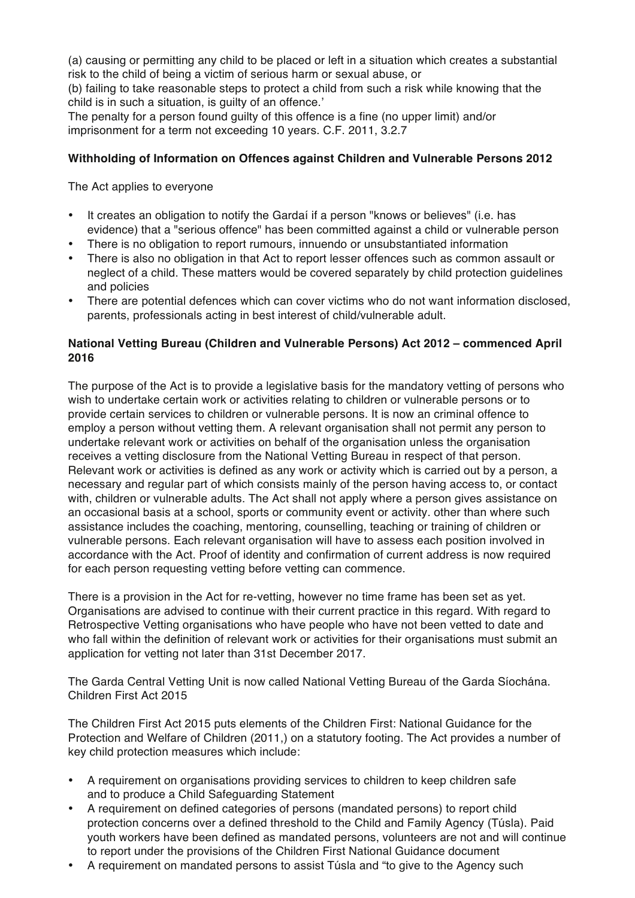(a) causing or permitting any child to be placed or left in a situation which creates a substantial risk to the child of being a victim of serious harm or sexual abuse, or

(b) failing to take reasonable steps to protect a child from such a risk while knowing that the child is in such a situation, is guilty of an offence.'

The penalty for a person found guilty of this offence is a fine (no upper limit) and/or imprisonment for a term not exceeding 10 years. C.F. 2011, 3.2.7

## **Withholding of Information on Offences against Children and Vulnerable Persons 2012**

The Act applies to everyone

- It creates an obligation to notify the Gardaí if a person "knows or believes" (i.e. has evidence) that a "serious offence" has been committed against a child or vulnerable person
- There is no obligation to report rumours, innuendo or unsubstantiated information
- There is also no obligation in that Act to report lesser offences such as common assault or neglect of a child. These matters would be covered separately by child protection guidelines and policies
- There are potential defences which can cover victims who do not want information disclosed, parents, professionals acting in best interest of child/vulnerable adult.

## **National Vetting Bureau (Children and Vulnerable Persons) Act 2012 – commenced April 2016**

The purpose of the Act is to provide a legislative basis for the mandatory vetting of persons who wish to undertake certain work or activities relating to children or vulnerable persons or to provide certain services to children or vulnerable persons. It is now an criminal offence to employ a person without vetting them. A relevant organisation shall not permit any person to undertake relevant work or activities on behalf of the organisation unless the organisation receives a vetting disclosure from the National Vetting Bureau in respect of that person. Relevant work or activities is defined as any work or activity which is carried out by a person, a necessary and regular part of which consists mainly of the person having access to, or contact with, children or vulnerable adults. The Act shall not apply where a person gives assistance on an occasional basis at a school, sports or community event or activity. other than where such assistance includes the coaching, mentoring, counselling, teaching or training of children or vulnerable persons. Each relevant organisation will have to assess each position involved in accordance with the Act. Proof of identity and confirmation of current address is now required for each person requesting vetting before vetting can commence.

There is a provision in the Act for re-vetting, however no time frame has been set as yet. Organisations are advised to continue with their current practice in this regard. With regard to Retrospective Vetting organisations who have people who have not been vetted to date and who fall within the definition of relevant work or activities for their organisations must submit an application for vetting not later than 31st December 2017.

The Garda Central Vetting Unit is now called National Vetting Bureau of the Garda Síochána. Children First Act 2015

The Children First Act 2015 puts elements of the Children First: National Guidance for the Protection and Welfare of Children (2011,) on a statutory footing. The Act provides a number of key child protection measures which include:

- A requirement on organisations providing services to children to keep children safe and to produce a Child Safeguarding Statement
- A requirement on defined categories of persons (mandated persons) to report child protection concerns over a defined threshold to the Child and Family Agency (Túsla). Paid youth workers have been defined as mandated persons, volunteers are not and will continue to report under the provisions of the Children First National Guidance document
- A requirement on mandated persons to assist Túsla and "to give to the Agency such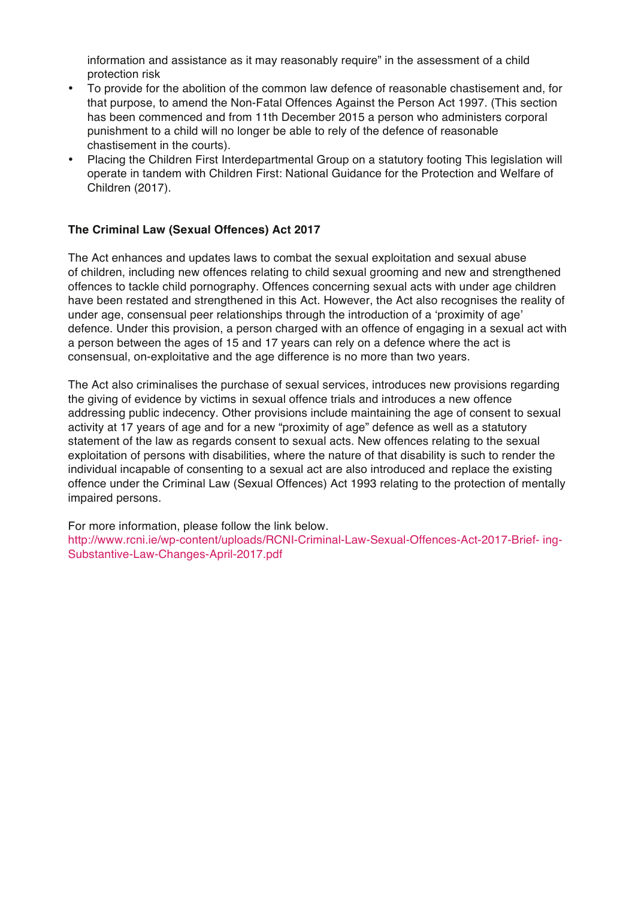information and assistance as it may reasonably require" in the assessment of a child protection risk

- To provide for the abolition of the common law defence of reasonable chastisement and, for that purpose, to amend the Non-Fatal Offences Against the Person Act 1997. (This section has been commenced and from 11th December 2015 a person who administers corporal punishment to a child will no longer be able to rely of the defence of reasonable chastisement in the courts).
- Placing the Children First Interdepartmental Group on a statutory footing This legislation will operate in tandem with Children First: National Guidance for the Protection and Welfare of Children (2017).

#### **The Criminal Law (Sexual Offences) Act 2017**

The Act enhances and updates laws to combat the sexual exploitation and sexual abuse of children, including new offences relating to child sexual grooming and new and strengthened offences to tackle child pornography. Offences concerning sexual acts with under age children have been restated and strengthened in this Act. However, the Act also recognises the reality of under age, consensual peer relationships through the introduction of a 'proximity of age' defence. Under this provision, a person charged with an offence of engaging in a sexual act with a person between the ages of 15 and 17 years can rely on a defence where the act is consensual, on-exploitative and the age difference is no more than two years.

The Act also criminalises the purchase of sexual services, introduces new provisions regarding the giving of evidence by victims in sexual offence trials and introduces a new offence addressing public indecency. Other provisions include maintaining the age of consent to sexual activity at 17 years of age and for a new "proximity of age" defence as well as a statutory statement of the law as regards consent to sexual acts. New offences relating to the sexual exploitation of persons with disabilities, where the nature of that disability is such to render the individual incapable of consenting to a sexual act are also introduced and replace the existing offence under the Criminal Law (Sexual Offences) Act 1993 relating to the protection of mentally impaired persons.

For more information, please follow the link below. http://www.rcni.ie/wp-content/uploads/RCNI-Criminal-Law-Sexual-Offences-Act-2017-Brief- ing-Substantive-Law-Changes-April-2017.pdf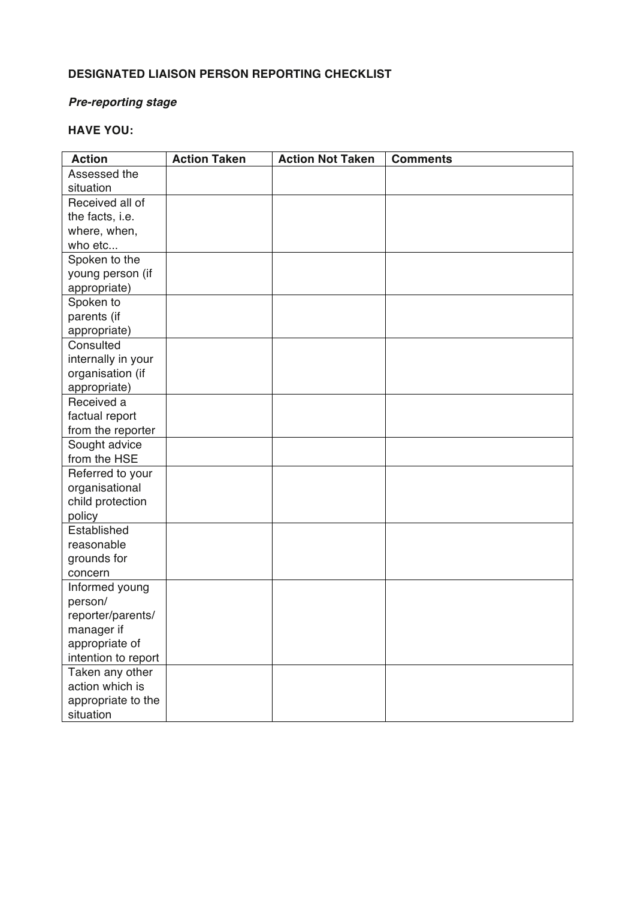# **DESIGNATED LIAISON PERSON REPORTING CHECKLIST**

# *Pre-reporting stage*

# **HAVE YOU:**

| <b>Action</b>       | <b>Action Taken</b> | <b>Action Not Taken</b> | <b>Comments</b> |
|---------------------|---------------------|-------------------------|-----------------|
| Assessed the        |                     |                         |                 |
| situation           |                     |                         |                 |
| Received all of     |                     |                         |                 |
| the facts, i.e.     |                     |                         |                 |
| where, when,        |                     |                         |                 |
| who etc             |                     |                         |                 |
| Spoken to the       |                     |                         |                 |
| young person (if    |                     |                         |                 |
| appropriate)        |                     |                         |                 |
| Spoken to           |                     |                         |                 |
| parents (if         |                     |                         |                 |
| appropriate)        |                     |                         |                 |
| Consulted           |                     |                         |                 |
| internally in your  |                     |                         |                 |
| organisation (if    |                     |                         |                 |
| appropriate)        |                     |                         |                 |
| Received a          |                     |                         |                 |
| factual report      |                     |                         |                 |
| from the reporter   |                     |                         |                 |
| Sought advice       |                     |                         |                 |
| from the HSE        |                     |                         |                 |
| Referred to your    |                     |                         |                 |
| organisational      |                     |                         |                 |
| child protection    |                     |                         |                 |
| policy              |                     |                         |                 |
| Established         |                     |                         |                 |
| reasonable          |                     |                         |                 |
| grounds for         |                     |                         |                 |
| concern             |                     |                         |                 |
| Informed young      |                     |                         |                 |
| person/             |                     |                         |                 |
| reporter/parents/   |                     |                         |                 |
| manager if          |                     |                         |                 |
| appropriate of      |                     |                         |                 |
| intention to report |                     |                         |                 |
| Taken any other     |                     |                         |                 |
| action which is     |                     |                         |                 |
| appropriate to the  |                     |                         |                 |
| situation           |                     |                         |                 |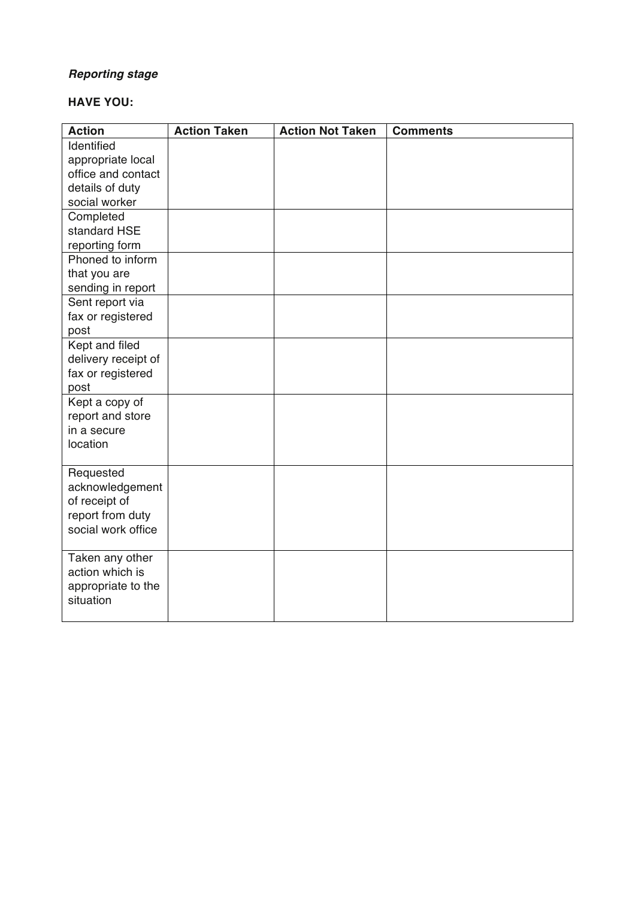# *Reporting stage*

# **HAVE YOU:**

| <b>Action</b>                | <b>Action Taken</b> | <b>Action Not Taken</b> | <b>Comments</b> |
|------------------------------|---------------------|-------------------------|-----------------|
| Identified                   |                     |                         |                 |
| appropriate local            |                     |                         |                 |
| office and contact           |                     |                         |                 |
| details of duty              |                     |                         |                 |
| social worker                |                     |                         |                 |
| Completed                    |                     |                         |                 |
| standard HSE                 |                     |                         |                 |
| reporting form               |                     |                         |                 |
| Phoned to inform             |                     |                         |                 |
| that you are                 |                     |                         |                 |
| sending in report            |                     |                         |                 |
| Sent report via              |                     |                         |                 |
| fax or registered            |                     |                         |                 |
| post                         |                     |                         |                 |
| Kept and filed               |                     |                         |                 |
| delivery receipt of          |                     |                         |                 |
| fax or registered            |                     |                         |                 |
| post                         |                     |                         |                 |
| Kept a copy of               |                     |                         |                 |
| report and store             |                     |                         |                 |
| in a secure                  |                     |                         |                 |
| location                     |                     |                         |                 |
|                              |                     |                         |                 |
| Requested<br>acknowledgement |                     |                         |                 |
| of receipt of                |                     |                         |                 |
| report from duty             |                     |                         |                 |
| social work office           |                     |                         |                 |
|                              |                     |                         |                 |
| Taken any other              |                     |                         |                 |
| action which is              |                     |                         |                 |
| appropriate to the           |                     |                         |                 |
| situation                    |                     |                         |                 |
|                              |                     |                         |                 |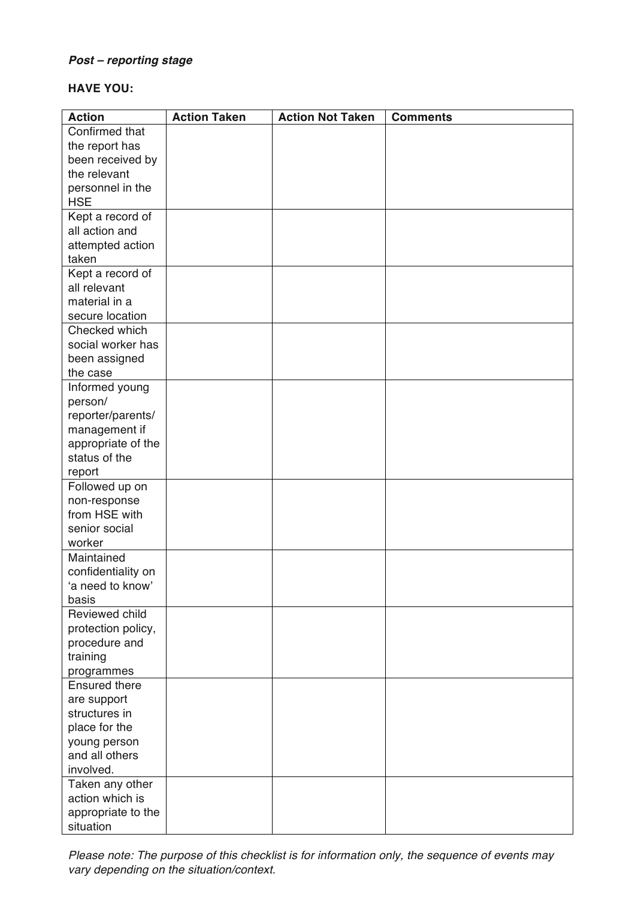# *Post – reporting stage*

# **HAVE YOU:**

| <b>Action</b>        | <b>Action Taken</b> | <b>Action Not Taken</b> | <b>Comments</b> |
|----------------------|---------------------|-------------------------|-----------------|
| Confirmed that       |                     |                         |                 |
| the report has       |                     |                         |                 |
| been received by     |                     |                         |                 |
| the relevant         |                     |                         |                 |
| personnel in the     |                     |                         |                 |
| <b>HSE</b>           |                     |                         |                 |
| Kept a record of     |                     |                         |                 |
| all action and       |                     |                         |                 |
| attempted action     |                     |                         |                 |
| taken                |                     |                         |                 |
| Kept a record of     |                     |                         |                 |
| all relevant         |                     |                         |                 |
| material in a        |                     |                         |                 |
| secure location      |                     |                         |                 |
| Checked which        |                     |                         |                 |
| social worker has    |                     |                         |                 |
| been assigned        |                     |                         |                 |
| the case             |                     |                         |                 |
| Informed young       |                     |                         |                 |
| person/              |                     |                         |                 |
| reporter/parents/    |                     |                         |                 |
| management if        |                     |                         |                 |
| appropriate of the   |                     |                         |                 |
| status of the        |                     |                         |                 |
| report               |                     |                         |                 |
| Followed up on       |                     |                         |                 |
| non-response         |                     |                         |                 |
| from HSE with        |                     |                         |                 |
| senior social        |                     |                         |                 |
| worker               |                     |                         |                 |
| Maintained           |                     |                         |                 |
| confidentiality on   |                     |                         |                 |
| 'a need to know'     |                     |                         |                 |
| basis                |                     |                         |                 |
| Reviewed child       |                     |                         |                 |
| protection policy,   |                     |                         |                 |
| procedure and        |                     |                         |                 |
| training             |                     |                         |                 |
| programmes           |                     |                         |                 |
| <b>Ensured there</b> |                     |                         |                 |
| are support          |                     |                         |                 |
| structures in        |                     |                         |                 |
| place for the        |                     |                         |                 |
| young person         |                     |                         |                 |
| and all others       |                     |                         |                 |
| involved.            |                     |                         |                 |
| Taken any other      |                     |                         |                 |
| action which is      |                     |                         |                 |
| appropriate to the   |                     |                         |                 |
| situation            |                     |                         |                 |

*Please note: The purpose of this checklist is for information only, the sequence of events may vary depending on the situation/context.*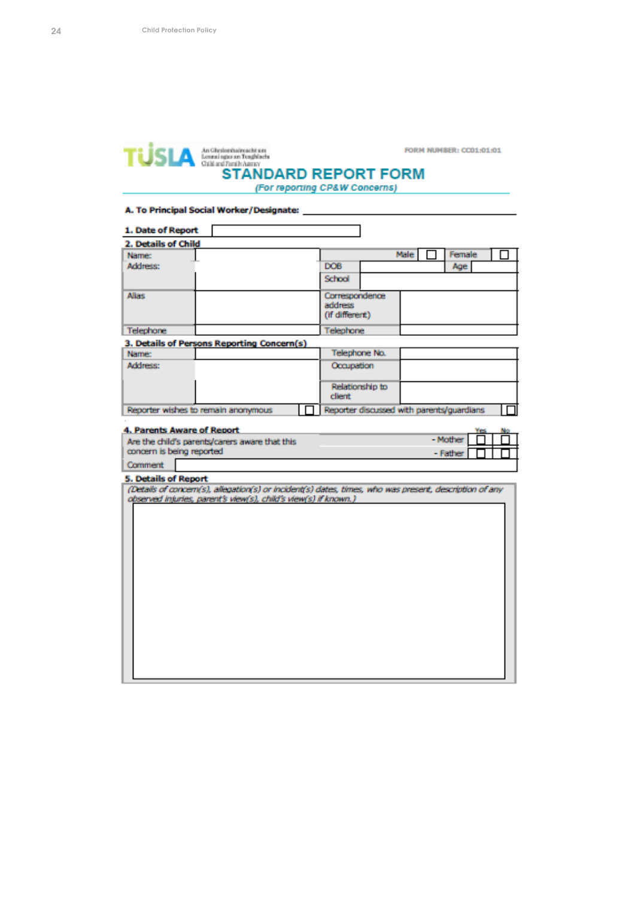

(For reporting CP&W Concerns)

### A. To Principal Social Worker/Designate: \_\_

| 1. Date of Report                 |                                                                                                        |                                           |      |          |  |
|-----------------------------------|--------------------------------------------------------------------------------------------------------|-------------------------------------------|------|----------|--|
| 2. Details of Child               |                                                                                                        |                                           |      |          |  |
| Name:                             |                                                                                                        |                                           | Male | Female   |  |
| Address:                          |                                                                                                        | DOB                                       |      | Age      |  |
|                                   |                                                                                                        | School                                    |      |          |  |
| <b>Alias</b>                      |                                                                                                        | Correspondence                            |      |          |  |
|                                   |                                                                                                        | address<br>(if different)                 |      |          |  |
| Telephone                         |                                                                                                        | Telephone                                 |      |          |  |
|                                   | 3. Details of Persons Reporting Concern(s)                                                             |                                           |      |          |  |
| Name:                             |                                                                                                        | Telephone No.                             |      |          |  |
| Address:                          |                                                                                                        | Occupation                                |      |          |  |
|                                   |                                                                                                        | Relationship to<br><b>client</b>          |      |          |  |
|                                   | Reporter wishes to remain anonymous                                                                    | Reporter discussed with parents/guardians |      |          |  |
|                                   |                                                                                                        |                                           |      |          |  |
| <b>4. Parents Aware of Report</b> |                                                                                                        |                                           |      | - Mother |  |
|                                   | Are the child's parents/carers aware that this                                                         |                                           |      |          |  |
| concern is being reported         |                                                                                                        |                                           |      | - Father |  |
| Comment                           |                                                                                                        |                                           |      |          |  |
| <b>5. Details of Report</b>       |                                                                                                        |                                           |      |          |  |
|                                   | (Details of concern(s), allegation(s) or incident(s) dates, times, who was present, description of any |                                           |      |          |  |
|                                   | observed injuries, parent's view(s), child's view(s) if known.)                                        |                                           |      |          |  |
|                                   |                                                                                                        |                                           |      |          |  |
|                                   |                                                                                                        |                                           |      |          |  |
|                                   |                                                                                                        |                                           |      |          |  |
|                                   |                                                                                                        |                                           |      |          |  |
|                                   |                                                                                                        |                                           |      |          |  |
|                                   |                                                                                                        |                                           |      |          |  |
|                                   |                                                                                                        |                                           |      |          |  |
|                                   |                                                                                                        |                                           |      |          |  |
|                                   |                                                                                                        |                                           |      |          |  |
|                                   |                                                                                                        |                                           |      |          |  |
|                                   |                                                                                                        |                                           |      |          |  |
|                                   |                                                                                                        |                                           |      |          |  |
|                                   |                                                                                                        |                                           |      |          |  |
|                                   |                                                                                                        |                                           |      |          |  |
|                                   |                                                                                                        |                                           |      |          |  |
|                                   |                                                                                                        |                                           |      |          |  |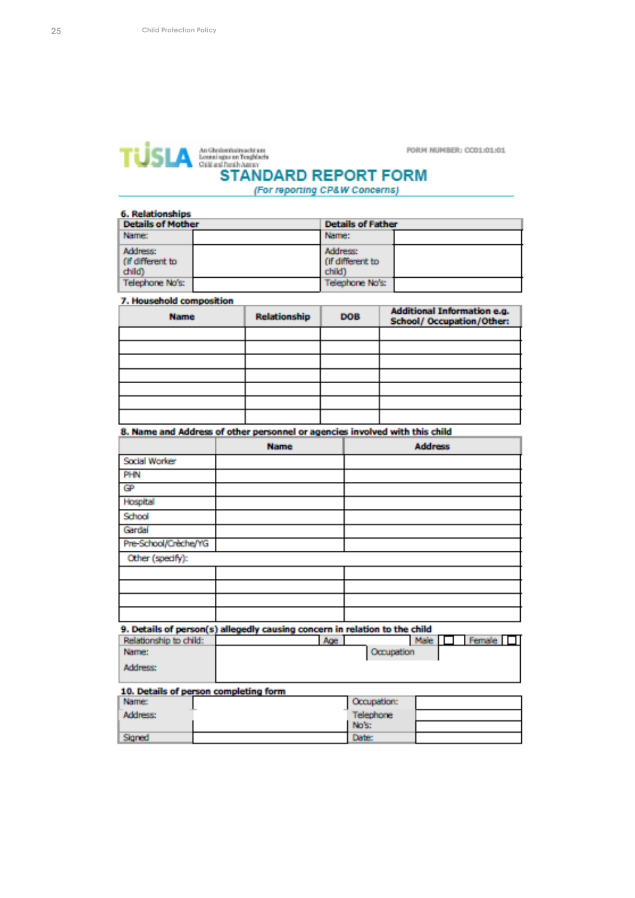

**FORM NUMBER: CC01:01:01** 

(For reporting CP&W Concerns)

| <b>Details of Mother</b>               | <b>Details of Father</b>               |  |
|----------------------------------------|----------------------------------------|--|
| Name:                                  | Name:                                  |  |
| Address:<br>(if different to<br>child) | Address:<br>(if different to<br>child) |  |
| Telephone No's:                        | Telephone No's:                        |  |

| <b>Name</b> | Relationship | DOB | <b>Additional Information e.g.</b><br>School/ Occupation/Other: |
|-------------|--------------|-----|-----------------------------------------------------------------|
|             |              |     |                                                                 |
|             |              |     |                                                                 |
|             |              |     |                                                                 |
|             |              |     |                                                                 |
|             |              |     |                                                                 |
|             |              |     |                                                                 |
|             |              |     |                                                                 |

### 8. Name and Address of other personnel or agencies involved with this child

|                      | <b>Name</b> | <b>Address</b> |
|----------------------|-------------|----------------|
| Social Worker        |             |                |
| PHN                  |             |                |
| GP                   |             |                |
| Hospital             |             |                |
| School               |             |                |
| Gardaí               |             |                |
| Pre-School/Crèche/YG |             |                |
| Other (specify):     |             |                |
|                      |             |                |
|                      |             |                |
|                      |             |                |
|                      |             |                |

9. Details of person(s) allegedly causing concern in relation to the child

| Relationship to child: | Age |            | Male   L | Female I |  |
|------------------------|-----|------------|----------|----------|--|
| Name:                  |     | Occupation |          |          |  |
| Address:               |     |            |          |          |  |
|                        |     |            |          |          |  |

#### 10. Details of person completing form

| Name:    |                  | Occupation: |  |
|----------|------------------|-------------|--|
| Address: | <b>Telephone</b> |             |  |
|          |                  | No's:       |  |
| Signed   |                  | Date:       |  |